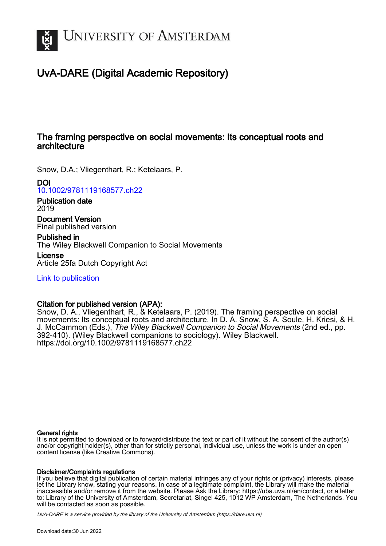

## UvA-DARE (Digital Academic Repository)

### The framing perspective on social movements: Its conceptual roots and architecture

Snow, D.A.; Vliegenthart, R.; Ketelaars, P.

#### DOI

[10.1002/9781119168577.ch22](https://doi.org/10.1002/9781119168577.ch22)

Publication date 2019

Document Version Final published version

Published in

The Wiley Blackwell Companion to Social Movements

License Article 25fa Dutch Copyright Act

[Link to publication](https://dare.uva.nl/personal/pure/en/publications/the-framing-perspective-on-social-movements-its-conceptual-roots-and-architecture(5bb23268-4fa2-4d60-bc16-da3e8ec43989).html)

#### Citation for published version (APA):

Snow, D. A., Vliegenthart, R., & Ketelaars, P. (2019). The framing perspective on social movements: Its conceptual roots and architecture. In D. A. Snow, S. A. Soule, H. Kriesi, & H. J. McCammon (Eds.), The Wiley Blackwell Companion to Social Movements (2nd ed., pp. 392-410). (Wiley Blackwell companions to sociology). Wiley Blackwell. <https://doi.org/10.1002/9781119168577.ch22>

#### General rights

It is not permitted to download or to forward/distribute the text or part of it without the consent of the author(s) and/or copyright holder(s), other than for strictly personal, individual use, unless the work is under an open content license (like Creative Commons).

#### Disclaimer/Complaints regulations

If you believe that digital publication of certain material infringes any of your rights or (privacy) interests, please let the Library know, stating your reasons. In case of a legitimate complaint, the Library will make the material inaccessible and/or remove it from the website. Please Ask the Library: https://uba.uva.nl/en/contact, or a letter to: Library of the University of Amsterdam, Secretariat, Singel 425, 1012 WP Amsterdam, The Netherlands. You will be contacted as soon as possible.

UvA-DARE is a service provided by the library of the University of Amsterdam (http*s*://dare.uva.nl)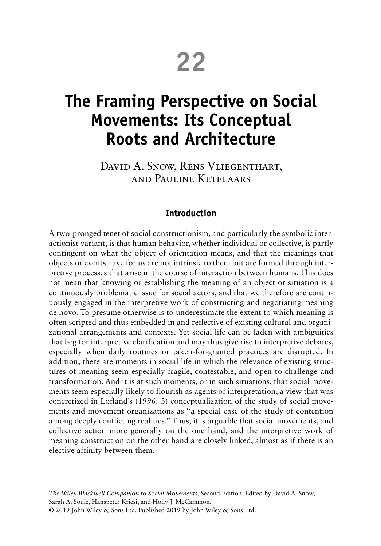# **22**

# **The Framing Perspective on Social Movements: Its Conceptual Roots and Architecture**

DAVID A. SNOW, RENS VLIEGENTHART, and Pauline Ketelaars

#### **Introduction**

A two‐pronged tenet of social constructionism, and particularly the symbolic interactionist variant, is that human behavior, whether individual or collective, is partly contingent on what the object of orientation means, and that the meanings that objects or events have for us are not intrinsic to them but are formed through interpretive processes that arise in the course of interaction between humans. This does not mean that knowing or establishing the meaning of an object or situation is a continuously problematic issue for social actors, and that we therefore are continuously engaged in the interpretive work of constructing and negotiating meaning de novo. To presume otherwise is to underestimate the extent to which meaning is often scripted and thus embedded in and reflective of existing cultural and organizational arrangements and contexts. Yet social life can be laden with ambiguities that beg for interpretive clarification and may thus give rise to interpretive debates, especially when daily routines or taken‐for‐granted practices are disrupted. In addition, there are moments in social life in which the relevance of existing structures of meaning seem especially fragile, contestable, and open to challenge and transformation. And it is at such moments, or in such situations, that social movements seem especially likely to flourish as agents of interpretation, a view that was concretized in Lofland's (1996: 3) conceptualization of the study of social movements and movement organizations as "a special case of the study of contention among deeply conflicting realities." Thus, it is arguable that social movements, and collective action more generally on the one hand, and the interpretive work of meaning construction on the other hand are closely linked, almost as if there is an elective affinity between them.

*The Wiley Blackwell Companion to Social Movements*, Second Edition. Edited by David A. Snow, Sarah A. Soule, Hanspeter Kriesi, and Holly J. McCammon.

© 2019 John Wiley & Sons Ltd. Published 2019 by John Wiley & Sons Ltd.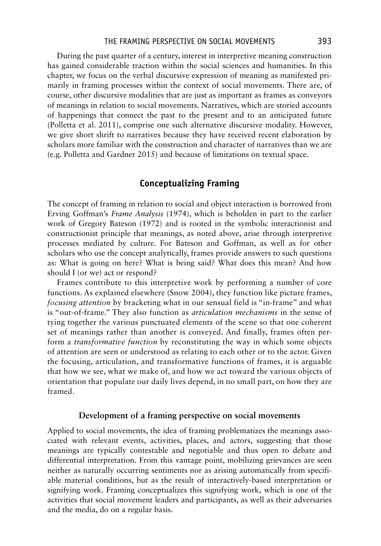During the past quarter of a century, interest in interpretive meaning construction has gained considerable traction within the social sciences and humanities. In this chapter, we focus on the verbal discursive expression of meaning as manifested primarily in framing processes within the context of social movements. There are, of course, other discursive modalities that are just as important as frames as conveyors of meanings in relation to social movements. Narratives, which are storied accounts of happenings that connect the past to the present and to an anticipated future (Polletta et al. 2011), comprise one such alternative discursive modality. However, we give short shrift to narratives because they have received recent elaboration by scholars more familiar with the construction and character of narratives than we are (e.g. Polletta and Gardner 2015) and because of limitations on textual space.

#### **Conceptualizing Framing**

The concept of framing in relation to social and object interaction is borrowed from Erving Goffman's *Frame Analysis* (1974), which is beholden in part to the earlier work of Gregory Bateson (1972) and is rooted in the symbolic interactionist and constructionist principle that meanings, as noted above, arise through interpretive processes mediated by culture. For Bateson and Goffman, as well as for other scholars who use the concept analytically, frames provide answers to such questions as: What is going on here? What is being said? What does this mean? And how should I (or we) act or respond?

Frames contribute to this interpretive work by performing a number of core functions. As explained elsewhere (Snow 2004), they function like picture frames, *focusing attention* by bracketing what in our sensual field is "in-frame" and what is "out‐of‐frame." They also function as *articulation mechanisms* in the sense of tying together the various punctuated elements of the scene so that one coherent set of meanings rather than another is conveyed. And finally, frames often perform a *transformative function* by reconstituting the way in which some objects of attention are seen or understood as relating to each other or to the actor. Given the focusing, articulation, and transformative functions of frames, it is arguable that how we see, what we make of, and how we act toward the various objects of orientation that populate our daily lives depend, in no small part, on how they are framed.

#### **Development of a framing perspective on social movements**

Applied to social movements, the idea of framing problematizes the meanings associated with relevant events, activities, places, and actors, suggesting that those meanings are typically contestable and negotiable and thus open to debate and differential interpretation. From this vantage point, mobilizing grievances are seen neither as naturally occurring sentiments nor as arising automatically from specifiable material conditions, but as the result of interactively‐based interpretation or signifying work. Framing conceptualizes this signifying work, which is one of the activities that social movement leaders and participants, as well as their adversaries and the media, do on a regular basis.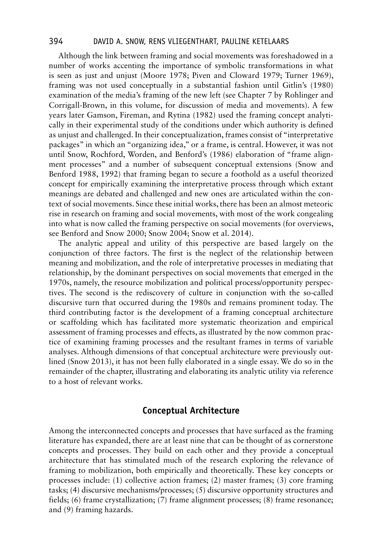Although the link between framing and social movements was foreshadowed in a number of works accenting the importance of symbolic transformations in what is seen as just and unjust (Moore 1978; Piven and Cloward 1979; Turner 1969), framing was not used conceptually in a substantial fashion until Gitlin's (1980) examination of the media's framing of the new left (see Chapter 7 by Rohlinger and Corrigall‐Brown, in this volume, for discussion of media and movements). A few years later Gamson, Fireman, and Rytina (1982) used the framing concept analytically in their experimental study of the conditions under which authority is defined as unjust and challenged. In their conceptualization, frames consist of "interpretative packages" in which an "organizing idea," or a frame, is central. However, it was not until Snow, Rochford, Worden, and Benford's (1986) elaboration of "frame alignment processes" and a number of subsequent conceptual extensions (Snow and Benford 1988, 1992) that framing began to secure a foothold as a useful theorized concept for empirically examining the interpretative process through which extant meanings are debated and challenged and new ones are articulated within the context of social movements. Since these initial works, there has been an almost meteoric rise in research on framing and social movements, with most of the work congealing into what is now called the framing perspective on social movements (for overviews, see Benford and Snow 2000; Snow 2004; Snow et al. 2014).

The analytic appeal and utility of this perspective are based largely on the conjunction of three factors. The first is the neglect of the relationship between meaning and mobilization, and the role of interpretative processes in mediating that relationship, by the dominant perspectives on social movements that emerged in the 1970s, namely, the resource mobilization and political process/opportunity perspectives. The second is the rediscovery of culture in conjunction with the so-called discursive turn that occurred during the 1980s and remains prominent today. The third contributing factor is the development of a framing conceptual architecture or scaffolding which has facilitated more systematic theorization and empirical assessment of framing processes and effects, as illustrated by the now common practice of examining framing processes and the resultant frames in terms of variable analyses. Although dimensions of that conceptual architecture were previously outlined (Snow 2013), it has not been fully elaborated in a single essay. We do so in the remainder of the chapter, illustrating and elaborating its analytic utility via reference to a host of relevant works.

#### **Conceptual Architecture**

Among the interconnected concepts and processes that have surfaced as the framing literature has expanded, there are at least nine that can be thought of as cornerstone concepts and processes. They build on each other and they provide a conceptual architecture that has stimulated much of the research exploring the relevance of framing to mobilization, both empirically and theoretically. These key concepts or processes include: (1) collective action frames; (2) master frames; (3) core framing tasks; (4) discursive mechanisms/processes; (5) discursive opportunity structures and fields; (6) frame crystallization; (7) frame alignment processes; (8) frame resonance; and (9) framing hazards.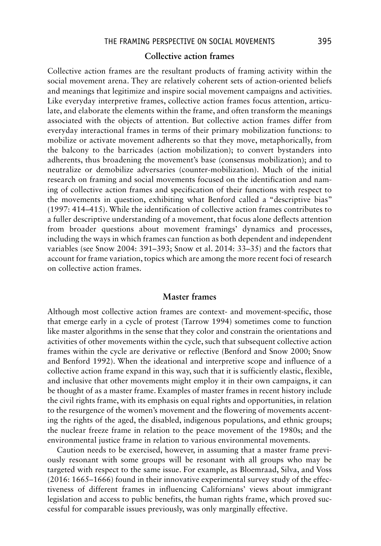#### **Collective action frames**

Collective action frames are the resultant products of framing activity within the social movement arena. They are relatively coherent sets of action-oriented beliefs and meanings that legitimize and inspire social movement campaigns and activities. Like everyday interpretive frames, collective action frames focus attention, articulate, and elaborate the elements within the frame, and often transform the meanings associated with the objects of attention. But collective action frames differ from everyday interactional frames in terms of their primary mobilization functions: to mobilize or activate movement adherents so that they move, metaphorically, from the balcony to the barricades (action mobilization); to convert bystanders into adherents, thus broadening the movement's base (consensus mobilization); and to neutralize or demobilize adversaries (counter‐mobilization). Much of the initial research on framing and social movements focused on the identification and naming of collective action frames and specification of their functions with respect to the movements in question, exhibiting what Benford called a "descriptive bias" (1997: 414–415). While the identification of collective action frames contributes to a fuller descriptive understanding of a movement, that focus alone deflects attention from broader questions about movement framings' dynamics and processes, including the ways in which frames can function as both dependent and independent variables (see Snow 2004: 391–393; Snow et al. 2014: 33–35) and the factors that account for frame variation, topics which are among the more recent foci of research on collective action frames.

#### **Master frames**

Although most collective action frames are context- and movement-specific, those that emerge early in a cycle of protest (Tarrow 1994) sometimes come to function like master algorithms in the sense that they color and constrain the orientations and activities of other movements within the cycle, such that subsequent collective action frames within the cycle are derivative or reflective (Benford and Snow 2000; Snow and Benford 1992). When the ideational and interpretive scope and influence of a collective action frame expand in this way, such that it is sufficiently elastic, flexible, and inclusive that other movements might employ it in their own campaigns, it can be thought of as a master frame. Examples of master frames in recent history include the civil rights frame, with its emphasis on equal rights and opportunities, in relation to the resurgence of the women's movement and the flowering of movements accenting the rights of the aged, the disabled, indigenous populations, and ethnic groups; the nuclear freeze frame in relation to the peace movement of the 1980s; and the environmental justice frame in relation to various environmental movements.

Caution needs to be exercised, however, in assuming that a master frame previously resonant with some groups will be resonant with all groups who may be targeted with respect to the same issue. For example, as Bloemraad, Silva, and Voss (2016: 1665–1666) found in their innovative experimental survey study of the effectiveness of different frames in influencing Californians' views about immigrant legislation and access to public benefits, the human rights frame, which proved successful for comparable issues previously, was only marginally effective.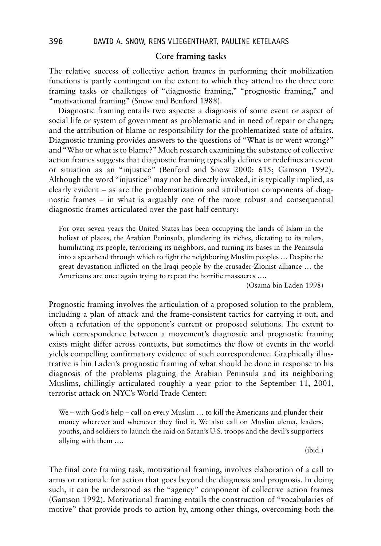#### **Core framing tasks**

The relative success of collective action frames in performing their mobilization functions is partly contingent on the extent to which they attend to the three core framing tasks or challenges of "diagnostic framing," "prognostic framing," and "motivational framing" (Snow and Benford 1988).

Diagnostic framing entails two aspects: a diagnosis of some event or aspect of social life or system of government as problematic and in need of repair or change; and the attribution of blame or responsibility for the problematized state of affairs. Diagnostic framing provides answers to the questions of "What is or went wrong?" and "Who or what is to blame?" Much research examining the substance of collective action frames suggests that diagnostic framing typically defines or redefines an event or situation as an "injustice" (Benford and Snow 2000: 615; Gamson 1992). Although the word "injustice" may not be directly invoked, it is typically implied, as clearly evident – as are the problematization and attribution components of diagnostic frames – in what is arguably one of the more robust and consequential diagnostic frames articulated over the past half century:

For over seven years the United States has been occupying the lands of Islam in the holiest of places, the Arabian Peninsula, plundering its riches, dictating to its rulers, humiliating its people, terrorizing its neighbors, and turning its bases in the Peninsula into a spearhead through which to fight the neighboring Muslim peoples … Despite the great devastation inflicted on the Iraqi people by the crusader‐Zionist alliance … the Americans are once again trying to repeat the horrific massacres ….

(Osama bin Laden 1998)

Prognostic framing involves the articulation of a proposed solution to the problem, including a plan of attack and the frame‐consistent tactics for carrying it out, and often a refutation of the opponent's current or proposed solutions. The extent to which correspondence between a movement's diagnostic and prognostic framing exists might differ across contexts, but sometimes the flow of events in the world yields compelling confirmatory evidence of such correspondence. Graphically illustrative is bin Laden's prognostic framing of what should be done in response to his diagnosis of the problems plaguing the Arabian Peninsula and its neighboring Muslims, chillingly articulated roughly a year prior to the September 11, 2001, terrorist attack on NYC's World Trade Center:

We – with God's help – call on every Muslim … to kill the Americans and plunder their money wherever and whenever they find it. We also call on Muslim ulema, leaders, youths, and soldiers to launch the raid on Satan's U.S. troops and the devil's supporters allying with them ….

(ibid.)

The final core framing task, motivational framing, involves elaboration of a call to arms or rationale for action that goes beyond the diagnosis and prognosis. In doing such, it can be understood as the "agency" component of collective action frames (Gamson 1992). Motivational framing entails the construction of "vocabularies of motive" that provide prods to action by, among other things, overcoming both the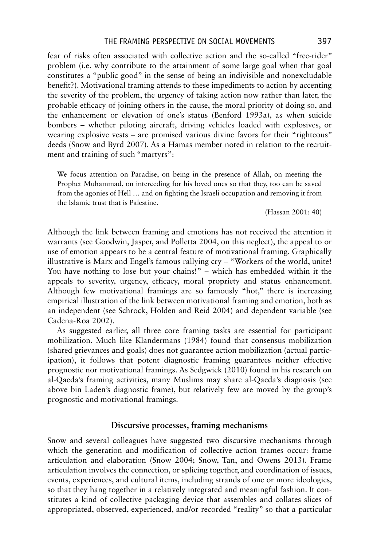fear of risks often associated with collective action and the so-called "free-rider" problem (i.e. why contribute to the attainment of some large goal when that goal constitutes a "public good" in the sense of being an indivisible and nonexcludable benefit?). Motivational framing attends to these impediments to action by accenting the severity of the problem, the urgency of taking action now rather than later, the probable efficacy of joining others in the cause, the moral priority of doing so, and the enhancement or elevation of one's status (Benford 1993a), as when suicide bombers – whether piloting aircraft, driving vehicles loaded with explosives, or wearing explosive vests – are promised various divine favors for their "righteous" deeds (Snow and Byrd 2007). As a Hamas member noted in relation to the recruitment and training of such "martyrs":

We focus attention on Paradise, on being in the presence of Allah, on meeting the Prophet Muhammad, on interceding for his loved ones so that they, too can be saved from the agonies of Hell … and on fighting the Israeli occupation and removing it from the Islamic trust that is Palestine.

(Hassan 2001: 40)

Although the link between framing and emotions has not received the attention it warrants (see Goodwin, Jasper, and Polletta 2004, on this neglect), the appeal to or use of emotion appears to be a central feature of motivational framing. Graphically illustrative is Marx and Engel's famous rallying cry – "Workers of the world, unite! You have nothing to lose but your chains!" – which has embedded within it the appeals to severity, urgency, efficacy, moral propriety and status enhancement. Although few motivational framings are so famously "hot," there is increasing empirical illustration of the link between motivational framing and emotion, both as an independent (see Schrock, Holden and Reid 2004) and dependent variable (see Cadena‐Roa 2002).

As suggested earlier, all three core framing tasks are essential for participant mobilization. Much like Klandermans (1984) found that consensus mobilization (shared grievances and goals) does not guarantee action mobilization (actual participation), it follows that potent diagnostic framing guarantees neither effective prognostic nor motivational framings. As Sedgwick (2010) found in his research on al‐Qaeda's framing activities, many Muslims may share al‐Qaeda's diagnosis (see above bin Laden's diagnostic frame), but relatively few are moved by the group's prognostic and motivational framings.

#### **Discursive processes, framing mechanisms**

Snow and several colleagues have suggested two discursive mechanisms through which the generation and modification of collective action frames occur: frame articulation and elaboration (Snow 2004; Snow, Tan, and Owens 2013). Frame articulation involves the connection, or splicing together, and coordination of issues, events, experiences, and cultural items, including strands of one or more ideologies, so that they hang together in a relatively integrated and meaningful fashion. It constitutes a kind of collective packaging device that assembles and collates slices of appropriated, observed, experienced, and/or recorded "reality" so that a particular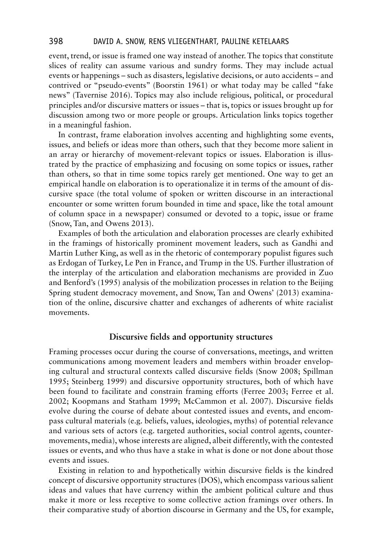event, trend, or issue is framed one way instead of another. The topics that constitute slices of reality can assume various and sundry forms. They may include actual events or happenings – such as disasters, legislative decisions, or auto accidents – and contrived or "pseudo‐events" (Boorstin 1961) or what today may be called "fake news" (Tavernise 2016). Topics may also include religious, political, or procedural principles and/or discursive matters or issues – that is, topics or issues brought up for discussion among two or more people or groups. Articulation links topics together in a meaningful fashion.

In contrast, frame elaboration involves accenting and highlighting some events, issues, and beliefs or ideas more than others, such that they become more salient in an array or hierarchy of movement-relevant topics or issues. Elaboration is illustrated by the practice of emphasizing and focusing on some topics or issues, rather than others, so that in time some topics rarely get mentioned. One way to get an empirical handle on elaboration is to operationalize it in terms of the amount of discursive space (the total volume of spoken or written discourse in an interactional encounter or some written forum bounded in time and space, like the total amount of column space in a newspaper) consumed or devoted to a topic, issue or frame (Snow, Tan, and Owens 2013).

Examples of both the articulation and elaboration processes are clearly exhibited in the framings of historically prominent movement leaders, such as Gandhi and Martin Luther King, as well as in the rhetoric of contemporary populist figures such as Erdogan of Turkey, Le Pen in France, and Trump in the US. Further illustration of the interplay of the articulation and elaboration mechanisms are provided in Zuo and Benford's (1995) analysis of the mobilization processes in relation to the Beijing Spring student democracy movement, and Snow, Tan and Owens' (2013) examination of the online, discursive chatter and exchanges of adherents of white racialist movements.

#### **Discursive fields and opportunity structures**

Framing processes occur during the course of conversations, meetings, and written communications among movement leaders and members within broader enveloping cultural and structural contexts called discursive fields (Snow 2008; Spillman 1995; Steinberg 1999) and discursive opportunity structures, both of which have been found to facilitate and constrain framing efforts (Ferree 2003; Ferree et al. 2002; Koopmans and Statham 1999; McCammon et al. 2007). Discursive fields evolve during the course of debate about contested issues and events, and encompass cultural materials (e.g. beliefs, values, ideologies, myths) of potential relevance and various sets of actors (e.g. targeted authorities, social control agents, counter‐ movements, media), whose interests are aligned, albeit differently, with the contested issues or events, and who thus have a stake in what is done or not done about those events and issues.

Existing in relation to and hypothetically within discursive fields is the kindred concept of discursive opportunity structures (DOS), which encompass various salient ideas and values that have currency within the ambient political culture and thus make it more or less receptive to some collective action framings over others. In their comparative study of abortion discourse in Germany and the US, for example,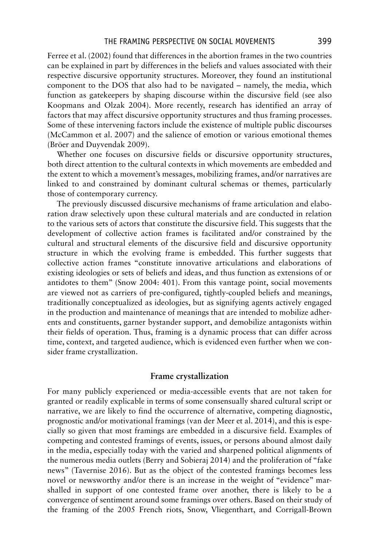Ferree et al. (2002) found that differences in the abortion frames in the two countries can be explained in part by differences in the beliefs and values associated with their respective discursive opportunity structures. Moreover, they found an institutional component to the DOS that also had to be navigated – namely, the media, which function as gatekeepers by shaping discourse within the discursive field (see also Koopmans and Olzak 2004). More recently, research has identified an array of factors that may affect discursive opportunity structures and thus framing processes. Some of these intervening factors include the existence of multiple public discourses (McCammon et al. 2007) and the salience of emotion or various emotional themes (Bröer and Duyvendak 2009).

Whether one focuses on discursive fields or discursive opportunity structures, both direct attention to the cultural contexts in which movements are embedded and the extent to which a movement's messages, mobilizing frames, and/or narratives are linked to and constrained by dominant cultural schemas or themes, particularly those of contemporary currency.

The previously discussed discursive mechanisms of frame articulation and elaboration draw selectively upon these cultural materials and are conducted in relation to the various sets of actors that constitute the discursive field. This suggests that the development of collective action frames is facilitated and/or constrained by the cultural and structural elements of the discursive field and discursive opportunity structure in which the evolving frame is embedded. This further suggests that collective action frames "constitute innovative articulations and elaborations of existing ideologies or sets of beliefs and ideas, and thus function as extensions of or antidotes to them" (Snow 2004: 401). From this vantage point, social movements are viewed not as carriers of pre‐configured, tightly‐coupled beliefs and meanings, traditionally conceptualized as ideologies, but as signifying agents actively engaged in the production and maintenance of meanings that are intended to mobilize adherents and constituents, garner bystander support, and demobilize antagonists within their fields of operation. Thus, framing is a dynamic process that can differ across time, context, and targeted audience, which is evidenced even further when we consider frame crystallization.

#### **Frame crystallization**

For many publicly experienced or media‐accessible events that are not taken for granted or readily explicable in terms of some consensually shared cultural script or narrative, we are likely to find the occurrence of alternative, competing diagnostic, prognostic and/or motivational framings (van der Meer et al. 2014), and this is especially so given that most framings are embedded in a discursive field. Examples of competing and contested framings of events, issues, or persons abound almost daily in the media, especially today with the varied and sharpened political alignments of the numerous media outlets (Berry and Sobieraj 2014) and the proliferation of "fake news" (Tavernise 2016). But as the object of the contested framings becomes less novel or newsworthy and/or there is an increase in the weight of "evidence" marshalled in support of one contested frame over another, there is likely to be a convergence of sentiment around some framings over others. Based on their study of the framing of the 2005 French riots, Snow, Vliegenthart, and Corrigall‐Brown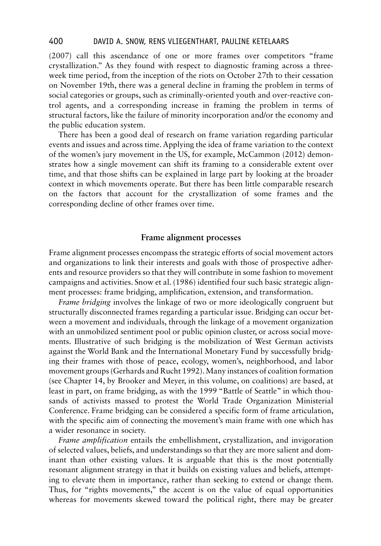(2007) call this ascendance of one or more frames over competitors "frame crystallization." As they found with respect to diagnostic framing across a three‐ week time period, from the inception of the riots on October 27th to their cessation on November 19th, there was a general decline in framing the problem in terms of social categories or groups, such as criminally-oriented youth and over-reactive control agents, and a corresponding increase in framing the problem in terms of structural factors, like the failure of minority incorporation and/or the economy and the public education system.

There has been a good deal of research on frame variation regarding particular events and issues and across time. Applying the idea of frame variation to the context of the women's jury movement in the US, for example, McCammon (2012) demonstrates how a single movement can shift its framing to a considerable extent over time, and that those shifts can be explained in large part by looking at the broader context in which movements operate. But there has been little comparable research on the factors that account for the crystallization of some frames and the corresponding decline of other frames over time.

#### **Frame alignment processes**

Frame alignment processes encompass the strategic efforts of social movement actors and organizations to link their interests and goals with those of prospective adherents and resource providers so that they will contribute in some fashion to movement campaigns and activities. Snow et al. (1986) identified four such basic strategic alignment processes: frame bridging, amplification, extension, and transformation.

*Frame bridging* involves the linkage of two or more ideologically congruent but structurally disconnected frames regarding a particular issue. Bridging can occur between a movement and individuals, through the linkage of a movement organization with an unmobilized sentiment pool or public opinion cluster, or across social movements. Illustrative of such bridging is the mobilization of West German activists against the World Bank and the International Monetary Fund by successfully bridging their frames with those of peace, ecology, women's, neighborhood, and labor movement groups (Gerhards and Rucht 1992). Many instances of coalition formation (see Chapter 14, by Brooker and Meyer, in this volume, on coalitions) are based, at least in part, on frame bridging, as with the 1999 "Battle of Seattle" in which thousands of activists massed to protest the World Trade Organization Ministerial Conference. Frame bridging can be considered a specific form of frame articulation, with the specific aim of connecting the movement's main frame with one which has a wider resonance in society.

*Frame amplification* entails the embellishment, crystallization, and invigoration of selected values, beliefs, and understandings so that they are more salient and dominant than other existing values. It is arguable that this is the most potentially resonant alignment strategy in that it builds on existing values and beliefs, attempting to elevate them in importance, rather than seeking to extend or change them. Thus, for "rights movements," the accent is on the value of equal opportunities whereas for movements skewed toward the political right, there may be greater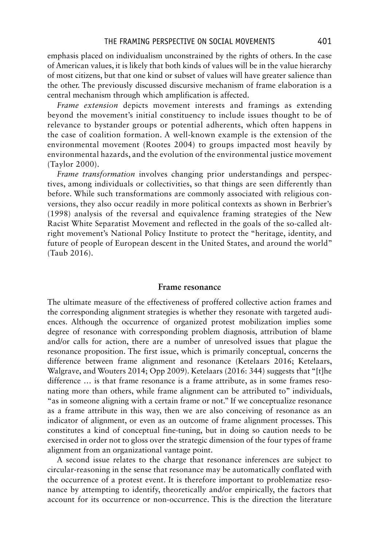emphasis placed on individualism unconstrained by the rights of others. In the case of American values, it is likely that both kinds of values will be in the value hierarchy of most citizens, but that one kind or subset of values will have greater salience than the other. The previously discussed discursive mechanism of frame elaboration is a central mechanism through which amplification is affected.

*Frame extension* depicts movement interests and framings as extending beyond the movement's initial constituency to include issues thought to be of relevance to bystander groups or potential adherents, which often happens in the case of coalition formation. A well‐known example is the extension of the environmental movement (Rootes 2004) to groups impacted most heavily by environmental hazards, and the evolution of the environmental justice movement (Taylor 2000).

*Frame transformation* involves changing prior understandings and perspectives, among individuals or collectivities, so that things are seen differently than before. While such transformations are commonly associated with religious conversions, they also occur readily in more political contexts as shown in Berbrier's (1998) analysis of the reversal and equivalence framing strategies of the New Racist White Separatist Movement and reflected in the goals of the so-called altright movement's National Policy Institute to protect the "heritage, identity, and future of people of European descent in the United States, and around the world" (Taub 2016).

#### **Frame resonance**

The ultimate measure of the effectiveness of proffered collective action frames and the corresponding alignment strategies is whether they resonate with targeted audiences. Although the occurrence of organized protest mobilization implies some degree of resonance with corresponding problem diagnosis, attribution of blame and/or calls for action, there are a number of unresolved issues that plague the resonance proposition. The first issue, which is primarily conceptual, concerns the difference between frame alignment and resonance (Ketelaars 2016; Ketelaars, Walgrave, and Wouters 2014; Opp 2009). Ketelaars (2016: 344) suggests that "[t]he difference … is that frame resonance is a frame attribute, as in some frames resonating more than others, while frame alignment can be attributed to" individuals, "as in someone aligning with a certain frame or not." If we conceptualize resonance as a frame attribute in this way, then we are also conceiving of resonance as an indicator of alignment, or even as an outcome of frame alignment processes. This constitutes a kind of conceptual fine‐tuning, but in doing so caution needs to be exercised in order not to gloss over the strategic dimension of the four types of frame alignment from an organizational vantage point.

A second issue relates to the charge that resonance inferences are subject to circular‐reasoning in the sense that resonance may be automatically conflated with the occurrence of a protest event. It is therefore important to problematize resonance by attempting to identify, theoretically and/or empirically, the factors that account for its occurrence or non‐occurrence. This is the direction the literature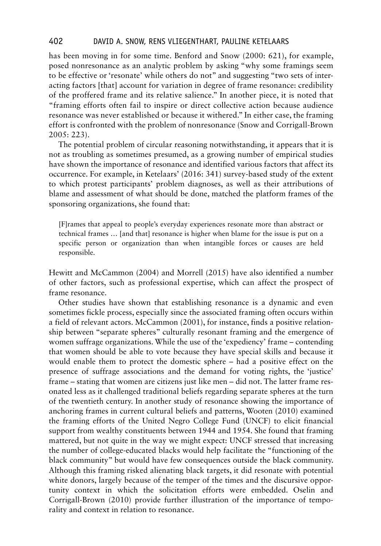has been moving in for some time. Benford and Snow (2000: 621), for example, posed nonresonance as an analytic problem by asking "why some framings seem to be effective or 'resonate' while others do not" and suggesting "two sets of interacting factors [that] account for variation in degree of frame resonance: credibility of the proffered frame and its relative salience." In another piece, it is noted that "framing efforts often fail to inspire or direct collective action because audience resonance was never established or because it withered." In either case, the framing effort is confronted with the problem of nonresonance (Snow and Corrigall‐Brown 2005: 223).

The potential problem of circular reasoning notwithstanding, it appears that it is not as troubling as sometimes presumed, as a growing number of empirical studies have shown the importance of resonance and identified various factors that affect its occurrence. For example, in Ketelaars' (2016: 341) survey‐based study of the extent to which protest participants' problem diagnoses, as well as their attributions of blame and assessment of what should be done, matched the platform frames of the sponsoring organizations, she found that:

[F]rames that appeal to people's everyday experiences resonate more than abstract or technical frames … [and that] resonance is higher when blame for the issue is put on a specific person or organization than when intangible forces or causes are held responsible.

Hewitt and McCammon (2004) and Morrell (2015) have also identified a number of other factors, such as professional expertise, which can affect the prospect of frame resonance.

Other studies have shown that establishing resonance is a dynamic and even sometimes fickle process, especially since the associated framing often occurs within a field of relevant actors. McCammon (2001), for instance, finds a positive relationship between "separate spheres" culturally resonant framing and the emergence of women suffrage organizations. While the use of the 'expediency' frame – contending that women should be able to vote because they have special skills and because it would enable them to protect the domestic sphere – had a positive effect on the presence of suffrage associations and the demand for voting rights, the 'justice' frame – stating that women are citizens just like men – did not. The latter frame resonated less as it challenged traditional beliefs regarding separate spheres at the turn of the twentieth century. In another study of resonance showing the importance of anchoring frames in current cultural beliefs and patterns, Wooten (2010) examined the framing efforts of the United Negro College Fund (UNCF) to elicit financial support from wealthy constituents between 1944 and 1954. She found that framing mattered, but not quite in the way we might expect: UNCF stressed that increasing the number of college‐educated blacks would help facilitate the "functioning of the black community" but would have few consequences outside the black community. Although this framing risked alienating black targets, it did resonate with potential white donors, largely because of the temper of the times and the discursive opportunity context in which the solicitation efforts were embedded. Oselin and Corrigall‐Brown (2010) provide further illustration of the importance of temporality and context in relation to resonance.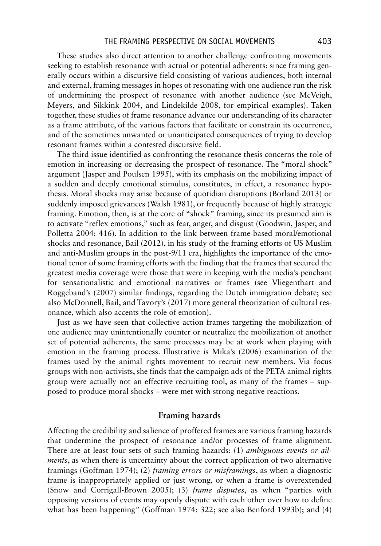These studies also direct attention to another challenge confronting movements seeking to establish resonance with actual or potential adherents: since framing generally occurs within a discursive field consisting of various audiences, both internal and external, framing messages in hopes of resonating with one audience run the risk of undermining the prospect of resonance with another audience (see McVeigh, Meyers, and Sikkink 2004, and Lindekilde 2008, for empirical examples). Taken together, these studies of frame resonance advance our understanding of its character as a frame attribute, of the various factors that facilitate or constrain its occurrence, and of the sometimes unwanted or unanticipated consequences of trying to develop resonant frames within a contested discursive field.

The third issue identified as confronting the resonance thesis concerns the role of emotion in increasing or decreasing the prospect of resonance. The "moral shock" argument (Jasper and Poulsen 1995), with its emphasis on the mobilizing impact of a sudden and deeply emotional stimulus, constitutes, in effect, a resonance hypothesis. Moral shocks may arise because of quotidian disruptions (Borland 2013) or suddenly imposed grievances (Walsh 1981), or frequently because of highly strategic framing. Emotion, then, is at the core of "shock" framing, since its presumed aim is to activate "reflex emotions," such as fear, anger, and disgust (Goodwin, Jasper, and Polletta 2004: 416). In addition to the link between frame‐based moral/emotional shocks and resonance, Bail (2012), in his study of the framing efforts of US Muslim and anti-Muslim groups in the post–9/11 era, highlights the importance of the emotional tenor of some framing efforts with the finding that the frames that secured the greatest media coverage were those that were in keeping with the media's penchant for sensationalistic and emotional narratives or frames (see Vliegenthart and Roggeband's (2007) similar findings, regarding the Dutch immigration debate; see also McDonnell, Bail, and Tavory's (2017) more general theorization of cultural resonance, which also accents the role of emotion).

Just as we have seen that collective action frames targeting the mobilization of one audience may unintentionally counter or neutralize the mobilization of another set of potential adherents, the same processes may be at work when playing with emotion in the framing process. Illustrative is Mika's (2006) examination of the frames used by the animal rights movement to recruit new members. Via focus groups with non‐activists, she finds that the campaign ads of the PETA animal rights group were actually not an effective recruiting tool, as many of the frames – supposed to produce moral shocks – were met with strong negative reactions.

#### **Framing hazards**

Affecting the credibility and salience of proffered frames are various framing hazards that undermine the prospect of resonance and/or processes of frame alignment. There are at least four sets of such framing hazards: (1) *ambiguous events or ailments*, as when there is uncertainty about the correct application of two alternative framings (Goffman 1974); (2) *framing errors or misframings*, as when a diagnostic frame is inappropriately applied or just wrong, or when a frame is overextended (Snow and Corrigall‐Brown 2005); (3) *frame disputes*, as when "parties with opposing versions of events may openly dispute with each other over how to define what has been happening" (Goffman 1974: 322; see also Benford 1993b); and (4)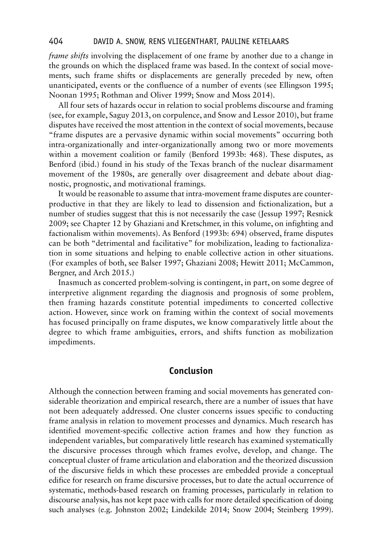*frame shifts* involving the displacement of one frame by another due to a change in the grounds on which the displaced frame was based. In the context of social movements, such frame shifts or displacements are generally preceded by new, often unanticipated, events or the confluence of a number of events (see Ellingson 1995; Noonan 1995; Rothman and Oliver 1999; Snow and Moss 2014).

All four sets of hazards occur in relation to social problems discourse and framing (see, for example, Saguy 2013, on corpulence, and Snow and Lessor 2010), but frame disputes have received the most attention in the context of social movements, because "frame disputes are a pervasive dynamic within social movements" occurring both intra‐organizationally and inter‐organizationally among two or more movements within a movement coalition or family (Benford 1993b: 468). These disputes, as Benford (ibid.) found in his study of the Texas branch of the nuclear disarmament movement of the 1980s, are generally over disagreement and debate about diagnostic, prognostic, and motivational framings.

It would be reasonable to assume that intra‐movement frame disputes are counter‐ productive in that they are likely to lead to dissension and fictionalization, but a number of studies suggest that this is not necessarily the case (Jessup 1997; Resnick 2009; see Chapter 12 by Ghaziani and Kretschmer, in this volume, on infighting and factionalism within movements). As Benford (1993b: 694) observed, frame disputes can be both "detrimental and facilitative" for mobilization, leading to factionalization in some situations and helping to enable collective action in other situations. (For examples of both, see Balser 1997; Ghaziani 2008; Hewitt 2011; McCammon, Bergner, and Arch 2015.)

Inasmuch as concerted problem‐solving is contingent, in part, on some degree of interpretive alignment regarding the diagnosis and prognosis of some problem, then framing hazards constitute potential impediments to concerted collective action. However, since work on framing within the context of social movements has focused principally on frame disputes, we know comparatively little about the degree to which frame ambiguities, errors, and shifts function as mobilization impediments.

#### **Conclusion**

Although the connection between framing and social movements has generated considerable theorization and empirical research, there are a number of issues that have not been adequately addressed. One cluster concerns issues specific to conducting frame analysis in relation to movement processes and dynamics. Much research has identified movement‐specific collective action frames and how they function as independent variables, but comparatively little research has examined systematically the discursive processes through which frames evolve, develop, and change. The conceptual cluster of frame articulation and elaboration and the theorized discussion of the discursive fields in which these processes are embedded provide a conceptual edifice for research on frame discursive processes, but to date the actual occurrence of systematic, methods‐based research on framing processes, particularly in relation to discourse analysis, has not kept pace with calls for more detailed specification of doing such analyses (e.g. Johnston 2002; Lindekilde 2014; Snow 2004; Steinberg 1999).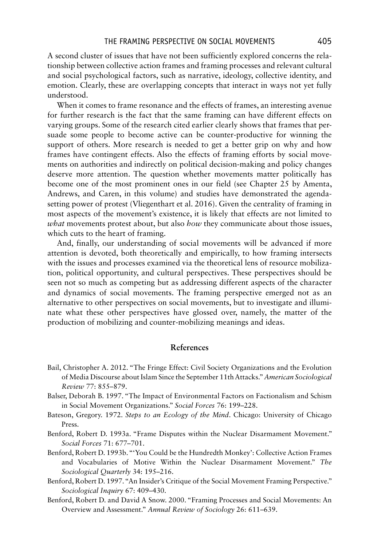A second cluster of issues that have not been sufficiently explored concerns the relationship between collective action frames and framing processes and relevant cultural and social psychological factors, such as narrative, ideology, collective identity, and emotion. Clearly, these are overlapping concepts that interact in ways not yet fully understood.

When it comes to frame resonance and the effects of frames, an interesting avenue for further research is the fact that the same framing can have different effects on varying groups. Some of the research cited earlier clearly shows that frames that persuade some people to become active can be counter‐productive for winning the support of others. More research is needed to get a better grip on why and how frames have contingent effects. Also the effects of framing efforts by social movements on authorities and indirectly on political decision-making and policy changes deserve more attention. The question whether movements matter politically has become one of the most prominent ones in our field (see Chapter 25 by Amenta, Andrews, and Caren, in this volume) and studies have demonstrated the agenda‐ setting power of protest (Vliegenthart et al. 2016). Given the centrality of framing in most aspects of the movement's existence, it is likely that effects are not limited to *what* movements protest about, but also *how* they communicate about those issues, which cuts to the heart of framing.

And, finally, our understanding of social movements will be advanced if more attention is devoted, both theoretically and empirically, to how framing intersects with the issues and processes examined via the theoretical lens of resource mobilization, political opportunity, and cultural perspectives. These perspectives should be seen not so much as competing but as addressing different aspects of the character and dynamics of social movements. The framing perspective emerged not as an alternative to other perspectives on social movements, but to investigate and illuminate what these other perspectives have glossed over, namely, the matter of the production of mobilizing and counter‐mobilizing meanings and ideas.

#### **References**

- Bail, Christopher A. 2012. "The Fringe Effect: Civil Society Organizations and the Evolution of Media Discourse about Islam Since the September 11th Attacks." *American Sociological Review* 77: 855–879.
- Balser, Deborah B. 1997. "The Impact of Environmental Factors on Factionalism and Schism in Social Movement Organizations." *Social Forces* 76: 199–228.
- Bateson, Gregory. 1972. *Steps to an Ecology of the Mind*. Chicago: University of Chicago Press.
- Benford, Robert D. 1993a. "Frame Disputes within the Nuclear Disarmament Movement." *Social Forces* 71: 677–701.
- Benford, Robert D. 1993b. "'You Could be the Hundredth Monkey': Collective Action Frames and Vocabularies of Motive Within the Nuclear Disarmament Movement." *The Sociological Quarterly* 34: 195–216.
- Benford, Robert D. 1997. "An Insider's Critique of the Social Movement Framing Perspective." *Sociological Inquiry* 67: 409–430.
- Benford, Robert D. and David A Snow. 2000. "Framing Processes and Social Movements: An Overview and Assessment." *Annual Review of Sociology* 26: 611–639.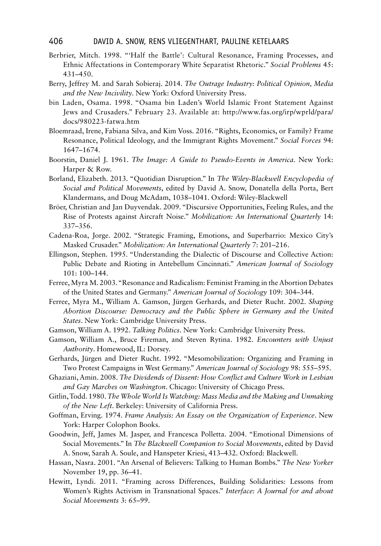- Berbrier, Mitch. 1998. "'Half the Battle': Cultural Resonance, Framing Processes, and Ethnic Affectations in Contemporary White Separatist Rhetoric." *Social Problems* 45: 431–450.
- Berry, Jeffrey M. and Sarah Sobieraj. 2014. *The Outrage Industry: Political Opinion, Media and the New Incivility*. New York: Oxford University Press.
- bin Laden, Osama. 1998. "Osama bin Laden's World Islamic Front Statement Against Jews and Crusaders." February 23. Available at: http://www.fas.org/irp/wprld/para/ docs/980223‐fatwa.htm
- Bloemraad, Irene, Fabiana Silva, and Kim Voss. 2016. "Rights, Economics, or Family? Frame Resonance, Political Ideology, and the Immigrant Rights Movement." *Social Forces* 94: 1647–1674.
- Boorstin, Daniel J. 1961. *The Image: A Guide to Pseudo‐Events in America*. New York: Harper & Row.
- Borland, Elizabeth. 2013. "Quotidian Disruption." In *The Wiley‐Blackwell Encyclopedia of Social and Political Movements*, edited by David A. Snow, Donatella della Porta, Bert Klandermans, and Doug McAdam, 1038–1041. Oxford: Wiley‐Blackwell
- Bröer, Christian and Jan Duyvendak. 2009. "Discursive Opportunities, Feeling Rules, and the Rise of Protests against Aircraft Noise." *Mobilization: An International Quarterly* 14: 337–356.
- Cadena‐Roa, Jorge. 2002. "Strategic Framing, Emotions, and Superbarrio: Mexico City's Masked Crusader." *Mobilization: An International Quarterly* 7: 201–216.
- Ellingson, Stephen. 1995. "Understanding the Dialectic of Discourse and Collective Action: Public Debate and Rioting in Antebellum Cincinnati." *American Journal of Sociology* 101: 100–144.
- Ferree, Myra M. 2003. "Resonance and Radicalism: Feminist Framing in the Abortion Debates of the United States and Germany." *American Journal of Sociology* 109: 304–344.
- Ferree, Myra M., William A. Gamson, Jürgen Gerhards, and Dieter Rucht. 2002. *Shaping Abortion Discourse: Democracy and the Public Sphere in Germany and the United States*. New York: Cambridge University Press.
- Gamson, William A. 1992. *Talking Politics*. New York: Cambridge University Press.
- Gamson, William A., Bruce Fireman, and Steven Rytina. 1982. *Encounters with Unjust Authority*. Homewood, IL: Dorsey.
- Gerhards, Jürgen and Dieter Rucht. 1992. "Mesomobilization: Organizing and Framing in Two Protest Campaigns in West Germany." *American Journal of Sociology* 98: 555–595.
- Ghaziani, Amin. 2008. *The Dividends of Dissent: How Conflict and Culture Work in Lesbian and Gay Marches on Washington*. Chicago: University of Chicago Press.
- Gitlin, Todd. 1980. *The Whole World Is Watching: Mass Media and the Making and Unmaking of the New Left*. Berkeley: University of California Press.
- Goffman, Erving. 1974. *Frame Analysis: An Essay on the Organization of Experience*. New York: Harper Colophon Books.
- Goodwin, Jeff, James M. Jasper, and Francesca Polletta. 2004. "Emotional Dimensions of Social Movements." In *The Blackwell Companion to Social Movements*, edited by David A. Snow, Sarah A. Soule, and Hanspeter Kriesi, 413–432. Oxford: Blackwell.
- Hassan, Nasra. 2001. "An Arsenal of Believers: Talking to Human Bombs." *The New Yorker*  November 19, pp. 36–41.
- Hewitt, Lyndi. 2011. "Framing across Differences, Building Solidarities: Lessons from Women's Rights Activism in Transnational Spaces." *Interface: A Journal for and about Social Movements* 3: 65–99.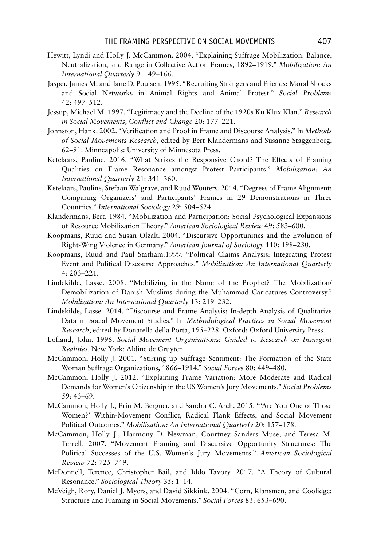- Hewitt, Lyndi and Holly J. McCammon. 2004. "Explaining Suffrage Mobilization: Balance, Neutralization, and Range in Collective Action Frames, 1892–1919." *Mobilization: An International Quarterly* 9: 149–166.
- Jasper, James M. and Jane D. Poulsen. 1995. "Recruiting Strangers and Friends: Moral Shocks and Social Networks in Animal Rights and Animal Protest." *Social Problems* 42: 497–512.
- Jessup, Michael M. 1997. "Legitimacy and the Decline of the 1920s Ku Klux Klan." *Research in Social Movements, Conflict and Change* 20: 177–221.
- Johnston, Hank. 2002. "Verification and Proof in Frame and Discourse Analysis." In *Methods of Social Movements Research*, edited by Bert Klandermans and Susanne Staggenborg, 62–91. Minneapolis: University of Minnesota Press.
- Ketelaars, Pauline. 2016. "What Strikes the Responsive Chord? The Effects of Framing Qualities on Frame Resonance amongst Protest Participants." *Mobilization: An International Quarterly* 21: 341–360.
- Ketelaars, Pauline, Stefaan Walgrave, and Ruud Wouters. 2014. "Degrees of Frame Alignment: Comparing Organizers' and Participants' Frames in 29 Demonstrations in Three Countries." *International Sociology* 29: 504–524.
- Klandermans, Bert. 1984. "Mobilization and Participation: Social‐Psychological Expansions of Resource Mobilization Theory." *American Sociological Review* 49: 583–600.
- Koopmans, Ruud and Susan Olzak. 2004. "Discursive Opportunities and the Evolution of Right‐Wing Violence in Germany." *American Journal of Sociology* 110: 198–230.
- Koopmans, Ruud and Paul Statham.1999. "Political Claims Analysis: Integrating Protest Event and Political Discourse Approaches." *Mobilization: An International Quarterly* 4: 203–221.
- Lindekilde, Lasse. 2008. "Mobilizing in the Name of the Prophet? The Mobilization/ Demobilization of Danish Muslims during the Muhammad Caricatures Controversy." *Mobilization: An International Quarterly* 13: 219–232.
- Lindekilde, Lasse. 2014. "Discourse and Frame Analysis: In‐depth Analysis of Qualitative Data in Social Movement Studies." In *Methodological Practices in Social Movement Research*, edited by Donatella della Porta, 195–228. Oxford: Oxford University Press.
- Lofland, John. 1996. *Social Movement Organizations: Guided to Research on Insurgent Realities*. New York: Aldine de Gruyter.
- McCammon, Holly J. 2001. "Stirring up Suffrage Sentiment: The Formation of the State Woman Suffrage Organizations, 1866–1914." *Social Forces* 80: 449–480.
- McCammon, Holly J. 2012. "Explaining Frame Variation: More Moderate and Radical Demands for Women's Citizenship in the US Women's Jury Movements." *Social Problems* 59: 43–69.
- McCammon, Holly J., Erin M. Bergner, and Sandra C. Arch. 2015. "'Are You One of Those Women?' Within‐Movement Conflict, Radical Flank Effects, and Social Movement Political Outcomes." *Mobilization: An International Quarterly* 20: 157–178.
- McCammon, Holly J., Harmony D. Newman, Courtney Sanders Muse, and Teresa M. Terrell. 2007. "Movement Framing and Discursive Opportunity Structures: The Political Successes of the U.S. Women's Jury Movements." *American Sociological Review* 72: 725–749.
- McDonnell, Terence, Christopher Bail, and Iddo Tavory. 2017. "A Theory of Cultural Resonance." *Sociological Theory* 35: 1–14.
- McVeigh, Rory, Daniel J. Myers, and David Sikkink. 2004. "Corn, Klansmen, and Coolidge: Structure and Framing in Social Movements." *Social Forces* 83: 653–690.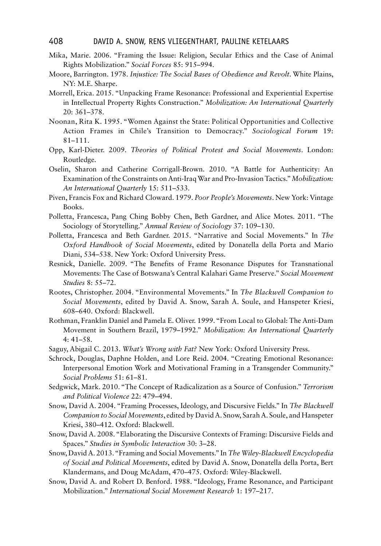- Mika, Marie. 2006. "Framing the Issue: Religion, Secular Ethics and the Case of Animal Rights Mobilization." *Social Forces* 85: 915–994.
- Moore, Barrington. 1978. *Injustice: The Social Bases of Obedience and Revolt*. White Plains, NY: M.E. Sharpe.
- Morrell, Erica. 2015. "Unpacking Frame Resonance: Professional and Experiential Expertise in Intellectual Property Rights Construction." *Mobilization: An International Quarterly* 20: 361–378.
- Noonan, Rita K. 1995. "Women Against the State: Political Opportunities and Collective Action Frames in Chile's Transition to Democracy." *Sociological Forum* 19: 81–111.
- Opp, Karl‐Dieter. 2009. *Theories of Political Protest and Social Movements*. London: Routledge.
- Oselin, Sharon and Catherine Corrigall‐Brown. 2010. "A Battle for Authenticity: An Examination of the Constraints on Anti‐Iraq War and Pro‐Invasion Tactics." *Mobilization: An International Quarterly* 15: 511–533.
- Piven, Francis Fox and Richard Cloward. 1979. *Poor People's Movements*. New York: Vintage Books.
- Polletta, Francesca, Pang Ching Bobby Chen, Beth Gardner, and Alice Motes. 2011. "The Sociology of Storytelling." *Annual Review of Sociology* 37: 109–130.
- Polletta, Francesca and Beth Gardner. 2015. "Narrative and Social Movements." In *The Oxford Handbook of Social Movements*, edited by Donatella della Porta and Mario Diani, 534–538. New York: Oxford University Press.
- Resnick, Danielle. 2009. "The Benefits of Frame Resonance Disputes for Transnational Movements: The Case of Botswana's Central Kalahari Game Preserve." *Social Movement Studies* 8: 55–72.
- Rootes, Christopher. 2004. "Environmental Movements." In *The Blackwell Companion to Social Movements*, edited by David A. Snow, Sarah A. Soule, and Hanspeter Kriesi, 608–640. Oxford: Blackwell.
- Rothman, Franklin Daniel and Pamela E. Oliver. 1999. "From Local to Global: The Anti‐Dam Movement in Southern Brazil, 1979–1992." *Mobilization: An International Quarterly* 4: 41–58.
- Saguy, Abigail C. 2013. *What's Wrong with Fat?* New York: Oxford University Press.
- Schrock, Douglas, Daphne Holden, and Lore Reid. 2004. "Creating Emotional Resonance: Interpersonal Emotion Work and Motivational Framing in a Transgender Community." *Social Problems* 51: 61–81.
- Sedgwick, Mark. 2010. "The Concept of Radicalization as a Source of Confusion." *Terrorism and Political Violence* 22: 479–494.
- Snow, David A. 2004. "Framing Processes, Ideology, and Discursive Fields." In *The Blackwell Companion to Social Movements*, edited by David A. Snow, Sarah A. Soule, and Hanspeter Kriesi, 380–412. Oxford: Blackwell.
- Snow, David A. 2008. "Elaborating the Discursive Contexts of Framing: Discursive Fields and Spaces." *Studies in Symbolic Interaction* 30: 3–28.
- Snow, David A. 2013. "Framing and Social Movements." In *The Wiley‐Blackwell Encyclopedia of Social and Political Movements*, edited by David A. Snow, Donatella della Porta, Bert Klandermans, and Doug McAdam, 470–475. Oxford: Wiley‐Blackwell.
- Snow, David A. and Robert D. Benford. 1988. "Ideology, Frame Resonance, and Participant Mobilization." *International Social Movement Research* 1: 197–217.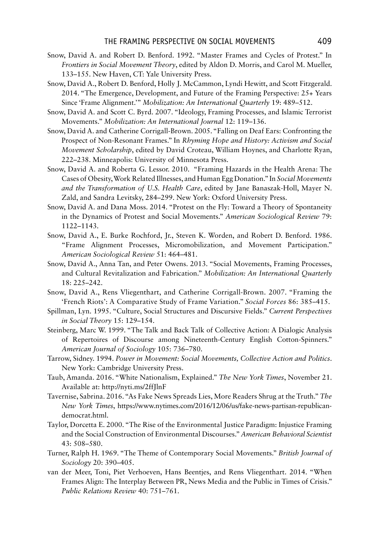- Snow, David A. and Robert D. Benford. 1992. "Master Frames and Cycles of Protest." In *Frontiers in Social Movement Theory*, edited by Aldon D. Morris, and Carol M. Mueller, 133–155. New Haven, CT: Yale University Press.
- Snow, David A., Robert D. Benford, Holly J. McCammon, Lyndi Hewitt, and Scott Fitzgerald. 2014. "The Emergence, Development, and Future of the Framing Perspective: 25+ Years Since 'Frame Alignment.'" *Mobilization: An International Quarterly* 19: 489–512.
- Snow, David A. and Scott C. Byrd. 2007. "Ideology, Framing Processes, and Islamic Terrorist Movements." *Mobilization: An International Journal* 12: 119–136.
- Snow, David A. and Catherine Corrigall‐Brown. 2005. "Falling on Deaf Ears: Confronting the Prospect of Non‐Resonant Frames." In *Rhyming Hope and History: Activism and Social Movement Scholarship*, edited by David Croteau, William Hoynes, and Charlotte Ryan, 222–238. Minneapolis: University of Minnesota Press.
- Snow, David A. and Roberta G. Lessor. 2010. "Framing Hazards in the Health Arena: The Cases of Obesity, Work Related Illnesses, and Human Egg Donation." In *Social Movements and the Transformation of U.S. Health Care*, edited by Jane Banaszak‐Holl, Mayer N. Zald, and Sandra Levitsky, 284–299. New York: Oxford University Press.
- Snow, David A. and Dana Moss. 2014. "Protest on the Fly: Toward a Theory of Spontaneity in the Dynamics of Protest and Social Movements." *American Sociological Review* 79: 1122–1143.
- Snow, David A., E. Burke Rochford, Jr., Steven K. Worden, and Robert D. Benford. 1986. "Frame Alignment Processes, Micromobilization, and Movement Participation." *American Sociological Review* 51: 464–481.
- Snow, David A., Anna Tan, and Peter Owens. 2013. "Social Movements, Framing Processes, and Cultural Revitalization and Fabrication." *Mobilization: An International Quarterly* 18: 225–242.
- Snow, David A., Rens Vliegenthart, and Catherine Corrigall‐Brown. 2007. "Framing the 'French Riots': A Comparative Study of Frame Variation." *Social Forces* 86: 385–415.
- Spillman, Lyn. 1995. "Culture, Social Structures and Discursive Fields." *Current Perspectives in Social Theory* 15: 129–154.
- Steinberg, Marc W. 1999. "The Talk and Back Talk of Collective Action: A Dialogic Analysis of Repertoires of Discourse among Nineteenth‐Century English Cotton‐Spinners." *American Journal of Sociology* 105: 736–780.
- Tarrow, Sidney. 1994. *Power in Movement: Social Movements, Collective Action and Politics*. New York: Cambridge University Press.
- Taub, Amanda. 2016. "White Nationalism, Explained." *The New York Times*, November 21. Available at: http://nyti.ms/2ffJlnF
- Tavernise, Sabrina. 2016. "As Fake News Spreads Lies, More Readers Shrug at the Truth." *The New York Times*, https://www.nytimes.com/2016/12/06/us/fake-news-partisan-republicandemocrat.html.
- Taylor, Dorcetta E. 2000. "The Rise of the Environmental Justice Paradigm: Injustice Framing and the Social Construction of Environmental Discourses." *American Behavioral Scientist* 43: 508–580.
- Turner, Ralph H. 1969. "The Theme of Contemporary Social Movements." *British Journal of Sociology* 20: 390–405.
- van der Meer, Toni, Piet Verhoeven, Hans Beentjes, and Rens Vliegenthart. 2014. "When Frames Align: The Interplay Between PR, News Media and the Public in Times of Crisis." *Public Relations Review* 40: 751–761.